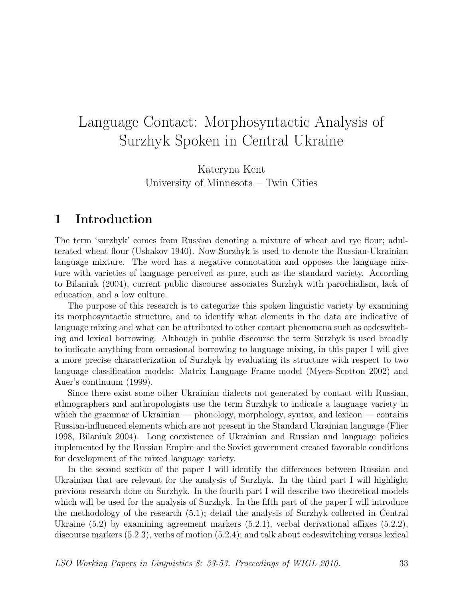Kateryna Kent University of Minnesota – Twin Cities

### 1 Introduction

The term 'surzhyk' comes from Russian denoting a mixture of wheat and rye flour; adulterated wheat flour (Ushakov 1940). Now Surzhyk is used to denote the Russian-Ukrainian language mixture. The word has a negative connotation and opposes the language mixture with varieties of language perceived as pure, such as the standard variety. According to Bilaniuk (2004), current public discourse associates Surzhyk with parochialism, lack of education, and a low culture.

The purpose of this research is to categorize this spoken linguistic variety by examining its morphosyntactic structure, and to identify what elements in the data are indicative of language mixing and what can be attributed to other contact phenomena such as codeswitching and lexical borrowing. Although in public discourse the term Surzhyk is used broadly to indicate anything from occasional borrowing to language mixing, in this paper I will give a more precise characterization of Surzhyk by evaluating its structure with respect to two language classification models: Matrix Language Frame model (Myers-Scotton 2002) and Auer's continuum (1999).

Since there exist some other Ukrainian dialects not generated by contact with Russian, ethnographers and anthropologists use the term Surzhyk to indicate a language variety in which the grammar of Ukrainian — phonology, morphology, syntax, and lexicon — contains Russian-influenced elements which are not present in the Standard Ukrainian language (Flier 1998, Bilaniuk 2004). Long coexistence of Ukrainian and Russian and language policies implemented by the Russian Empire and the Soviet government created favorable conditions for development of the mixed language variety.

In the second section of the paper I will identify the differences between Russian and Ukrainian that are relevant for the analysis of Surzhyk. In the third part I will highlight previous research done on Surzhyk. In the fourth part I will describe two theoretical models which will be used for the analysis of Surzhyk. In the fifth part of the paper I will introduce the methodology of the research (5.1); detail the analysis of Surzhyk collected in Central Ukraine (5.2) by examining agreement markers (5.2.1), verbal derivational affixes (5.2.2), discourse markers (5.2.3), verbs of motion (5.2.4); and talk about codeswitching versus lexical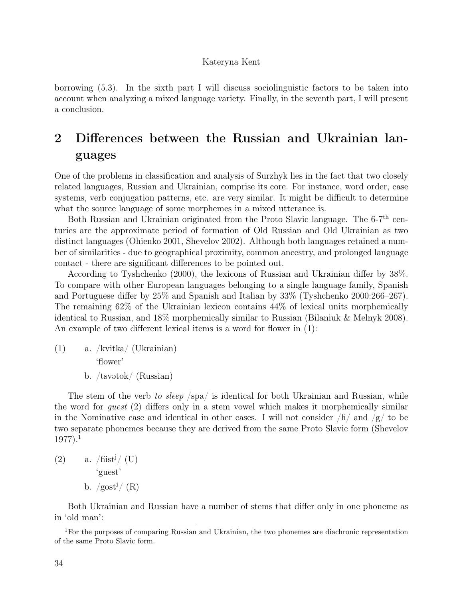borrowing (5.3). In the sixth part I will discuss sociolinguistic factors to be taken into account when analyzing a mixed language variety. Finally, in the seventh part, I will present a conclusion.

## 2 Differences between the Russian and Ukrainian languages

One of the problems in classification and analysis of Surzhyk lies in the fact that two closely related languages, Russian and Ukrainian, comprise its core. For instance, word order, case systems, verb conjugation patterns, etc. are very similar. It might be difficult to determine what the source language of some morphemes in a mixed utterance is.

Both Russian and Ukrainian originated from the Proto Slavic language. The 6-7<sup>th</sup> centuries are the approximate period of formation of Old Russian and Old Ukrainian as two distinct languages (Ohienko 2001, Shevelov 2002). Although both languages retained a number of similarities - due to geographical proximity, common ancestry, and prolonged language contact - there are significant differences to be pointed out.

According to Tyshchenko (2000), the lexicons of Russian and Ukrainian differ by 38%. To compare with other European languages belonging to a single language family, Spanish and Portuguese differ by 25% and Spanish and Italian by 33% (Tyshchenko 2000:266–267). The remaining 62% of the Ukrainian lexicon contains 44% of lexical units morphemically identical to Russian, and 18% morphemically similar to Russian (Bilaniuk & Melnyk 2008). An example of two different lexical items is a word for flower in (1):

(1) a. /kvitka/ (Ukrainian) 'flower' b. /tsv $\delta$ tsv $\delta$ / (Russian)

The stem of the verb to sleep /spa/ is identical for both Ukrainian and Russian, while the word for guest (2) differs only in a stem vowel which makes it morphemically similar in the Nominative case and identical in other cases. I will not consider  $/f_1$  and  $/g$  to be two separate phonemes because they are derived from the same Proto Slavic form (Shevelov  $1977$ ).<sup>1</sup>

 $(2)$  a. /fist<sup>j</sup>/ (U) 'guest' b.  $/gost<sup>j</sup>/(R)$ 

Both Ukrainian and Russian have a number of stems that differ only in one phoneme as in 'old man':

<sup>&</sup>lt;sup>1</sup>For the purposes of comparing Russian and Ukrainian, the two phonemes are diachronic representation of the same Proto Slavic form.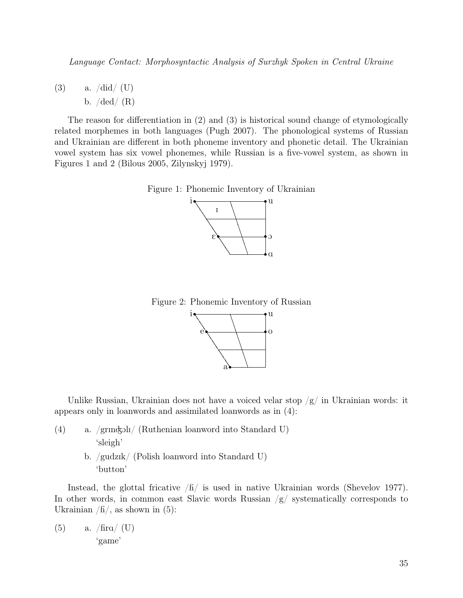(3) a.  $\frac{\text{did}}{\text{U}}$ b.  $/\text{ded}/(\text{R})$ 

The reason for differentiation in (2) and (3) is historical sound change of etymologically related morphemes in both languages (Pugh 2007). The phonological systems of Russian and Ukrainian are different in both phoneme inventory and phonetic detail. The Ukrainian vowel system has six vowel phonemes, while Russian is a five-vowel system, as shown in Figures 1 and 2 (Bilous 2005, Zilynskyj 1979).





Figure 2: Phonemic Inventory of Russian



Unlike Russian, Ukrainian does not have a voiced velar stop  $/g/$  in Ukrainian words: it appears only in loanwords and assimilated loanwords as in (4):

- (4) a.  $\gamma$ grm $\frac{1}{\gamma}$  (Ruthenian loanword into Standard U) 'sleigh'
	- b. /gudzIk/ (Polish loanword into Standard U) 'button'

Instead, the glottal fricative  $/f_1$  is used in native Ukrainian words (Shevelov 1977). In other words, in common east Slavic words Russian  $/g/$  systematically corresponds to Ukrainian  $/f_1/$ , as shown in (5):

(5) a. 
$$
/\text{fira}/\text{ (U)}
$$
  
'game'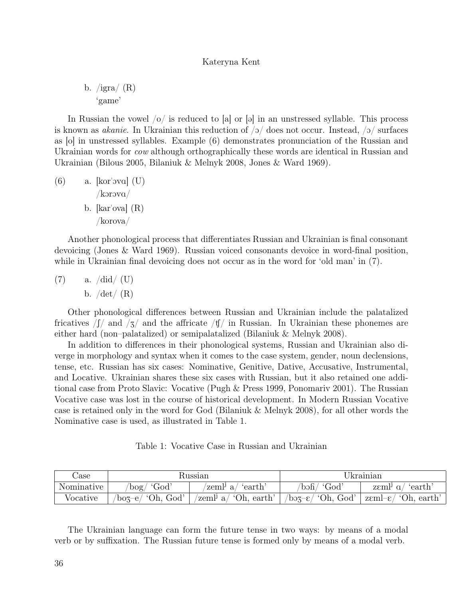b.  $/$ igra $/$  (R) 'game'

In Russian the vowel  $|o|$  is reduced to [a] or [a] in an unstressed syllable. This process is known as *akanie*. In Ukrainian this reduction of  $/2/$  does not occur. Instead,  $/2/$  surfaces as [o] in unstressed syllables. Example (6) demonstrates pronunciation of the Russian and Ukrainian words for *cow* although orthographically these words are identical in Russian and Ukrainian (Bilous 2005, Bilaniuk & Melnyk 2008, Jones & Ward 1969).

 $(6)$  a.  $[kor'ova]$   $(U)$  $/korova/$ b.  $\lbrack \text{kar}'ova \rbrack$   $\langle \text{R} \rangle$ /korova/

Another phonological process that differentiates Russian and Ukrainian is final consonant devoicing (Jones & Ward 1969). Russian voiced consonants devoice in word-final position, while in Ukrainian final devoicing does not occur as in the word for 'old man' in (7).

 $(7)$  a.  $\frac{\text{did}}{\text{U}}$ b.  $/\text{det}/(\text{R})$ 

Other phonological differences between Russian and Ukrainian include the palatalized fricatives  $\int \int \int$  and  $\int$  and the affricate  $\int \int \int$  in Russian. In Ukrainian these phonemes are either hard (non–palatalized) or semipalatalized (Bilaniuk & Melnyk 2008).

In addition to differences in their phonological systems, Russian and Ukrainian also diverge in morphology and syntax when it comes to the case system, gender, noun declensions, tense, etc. Russian has six cases: Nominative, Genitive, Dative, Accusative, Instrumental, and Locative. Ukrainian shares these six cases with Russian, but it also retained one additional case from Proto Slavic: Vocative (Pugh & Press 1999, Ponomariv 2001). The Russian Vocative case was lost in the course of historical development. In Modern Russian Vocative case is retained only in the word for God (Bilaniuk & Melnyk 2008), for all other words the Nominative case is used, as illustrated in Table 1.

Table 1: Vocative Case in Russian and Ukrainian

| Jase       | Russian                                      |                                         | Ukrainian                        |                                                                                                 |
|------------|----------------------------------------------|-----------------------------------------|----------------------------------|-------------------------------------------------------------------------------------------------|
| Nominative | $\log/$ 'God'                                | ′ 'earth′<br>'zeml <sup>j</sup> a/      | / 'God'<br>$\delta$ boh $\delta$ | earth (<br>z $\epsilon$ ml <sup>j</sup> a/                                                      |
| Vocative   | $\sqrt{\text{boz}-e}/\text{°Oh}, \text{God}$ | $\ell$ zeml <sup>j</sup> a/ 'Oh, earth' |                                  | $\frac{1}{2}$ /boz- $\varepsilon$ / 'Oh, God'   z $\varepsilon$ ml- $\varepsilon$ / 'Oh, earth' |

The Ukrainian language can form the future tense in two ways: by means of a modal verb or by suffixation. The Russian future tense is formed only by means of a modal verb.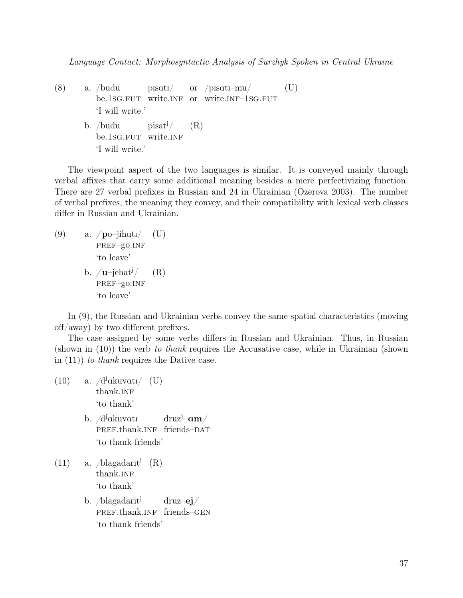(8) a. /budu be.1sg.fut write.INF or write.INF-1sg.fut  $p$ Isati/ or /pisati-mu/ (U) 'I will write.' b. /budu be.1sg.FUT  $pisat<sup>j</sup>/$ write.INF (R) 'I will write.'

The viewpoint aspect of the two languages is similar. It is conveyed mainly through verbal affixes that carry some additional meaning besides a mere perfectivizing function. There are 27 verbal prefixes in Russian and 24 in Ukrainian (Ozerova 2003). The number of verbal prefixes, the meaning they convey, and their compatibility with lexical verb classes differ in Russian and Ukrainian.

(9) a.  $\mathcal{p}$ o-jihati/ PREF-go.INF (U) 'to leave' b.  $/u$ –jehat<sup> $J/$ </sup> PREF-go.INF (R) 'to leave'

In (9), the Russian and Ukrainian verbs convey the same spatial characteristics (moving off/away) by two different prefixes.

The case assigned by some verbs differs in Russian and Ukrainian. Thus, in Russian  $(\text{shown in } (10))$  the verb to thank requires the Accusative case, while in Ukrainian  $(\text{shown in } (10))$ in  $(11)$  to thank requires the Dative case.

- $(10)$  a.  $/d^j$ akuvatı/ $(U)$ thank.INF 'to thank' b. /d<sup>j</sup>akuvatı  $\frac{d}{dx}$ j– $am/$ 
	- PREF.thank.INF friends-DAT 'to thank friends'
- $(11)$  a. */blagadarit<sup>j</sup>*  $(R)$ thank.INF 'to thank'
	- b. */blagadarit<sup>j</sup>* PREF.thank.INF friends-GEN druz–ej/ 'to thank friends'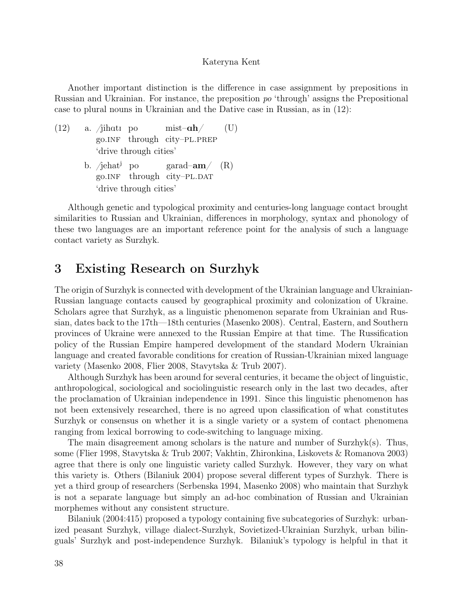Another important distinction is the difference in case assignment by prepositions in Russian and Ukrainian. For instance, the preposition po 'through' assigns the Prepositional case to plural nouns in Ukrainian and the Dative case in Russian, as in (12):

- $(12)$  a.  $/$ jihati po go.inf through city–pl.prep  $mist-\alpha h/$ (U) 'drive through cities'
	- b. /jehat<sup>j</sup> po go.INF through city–PL.DAT garad–am/ (R) 'drive through cities'

Although genetic and typological proximity and centuries-long language contact brought similarities to Russian and Ukrainian, differences in morphology, syntax and phonology of these two languages are an important reference point for the analysis of such a language contact variety as Surzhyk.

### 3 Existing Research on Surzhyk

The origin of Surzhyk is connected with development of the Ukrainian language and Ukrainian-Russian language contacts caused by geographical proximity and colonization of Ukraine. Scholars agree that Surzhyk, as a linguistic phenomenon separate from Ukrainian and Russian, dates back to the 17th—18th centuries (Masenko 2008). Central, Eastern, and Southern provinces of Ukraine were annexed to the Russian Empire at that time. The Russification policy of the Russian Empire hampered development of the standard Modern Ukrainian language and created favorable conditions for creation of Russian-Ukrainian mixed language variety (Masenko 2008, Flier 2008, Stavytska & Trub 2007).

Although Surzhyk has been around for several centuries, it became the object of linguistic, anthropological, sociological and sociolinguistic research only in the last two decades, after the proclamation of Ukrainian independence in 1991. Since this linguistic phenomenon has not been extensively researched, there is no agreed upon classification of what constitutes Surzhyk or consensus on whether it is a single variety or a system of contact phenomena ranging from lexical borrowing to code-switching to language mixing.

The main disagreement among scholars is the nature and number of Surzhyk(s). Thus, some (Flier 1998, Stavytska & Trub 2007; Vakhtin, Zhironkina, Liskovets & Romanova 2003) agree that there is only one linguistic variety called Surzhyk. However, they vary on what this variety is. Others (Bilaniuk 2004) propose several different types of Surzhyk. There is yet a third group of researchers (Serbenska 1994, Masenko 2008) who maintain that Surzhyk is not a separate language but simply an ad-hoc combination of Russian and Ukrainian morphemes without any consistent structure.

Bilaniuk (2004:415) proposed a typology containing five subcategories of Surzhyk: urbanized peasant Surzhyk, village dialect-Surzhyk, Sovietized-Ukrainian Surzhyk, urban bilinguals' Surzhyk and post-independence Surzhyk. Bilaniuk's typology is helpful in that it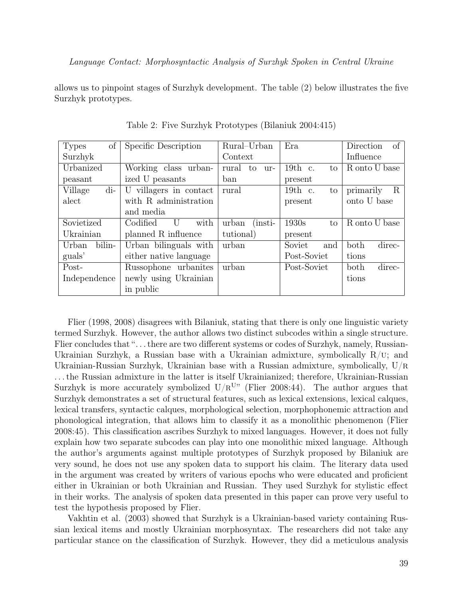allows us to pinpoint stages of Surzhyk development. The table (2) below illustrates the five Surzhyk prototypes.

| of<br><b>Types</b> | Specific Description   | Rural-Urban                            | Era             | of<br>Direction |
|--------------------|------------------------|----------------------------------------|-----------------|-----------------|
| Surzhyk            |                        | Context                                |                 | Influence       |
| Urbanized          | Working class urban-   | rural<br>to<br>ur-                     | 19th c.<br>to   | R onto U base   |
| peasant            | ized U peasants        | ban                                    | present         |                 |
| Village<br>$di-$   | U villagers in contact | rural                                  | $19th$ c.<br>to | primarily<br>R  |
| alect              | with R administration  |                                        | present         | onto U base     |
|                    | and media              |                                        |                 |                 |
| Sovietized         | Codified<br>with<br>U  | urban<br>$\left(\mathrm{insti}\right)$ | 1930s<br>to     | R onto U base   |
| Ukrainian          | planned R influence    | tutional)                              | present         |                 |
| bilin-<br>Urban    | Urban bilinguals with  | urban                                  | Soviet<br>and   | both<br>direc-  |
| guals'             | either native language |                                        | Post-Soviet     | tions           |
| Post-              | Russophone urbanites   | urban                                  | Post-Soviet     | both<br>direc-  |
| Independence       | newly using Ukrainian  |                                        |                 | tions           |
|                    | in public              |                                        |                 |                 |

Table 2: Five Surzhyk Prototypes (Bilaniuk 2004:415)

Flier (1998, 2008) disagrees with Bilaniuk, stating that there is only one linguistic variety termed Surzhyk. However, the author allows two distinct subcodes within a single structure. Flier concludes that "... there are two different systems or codes of Surzhyk, namely, Russian-Ukrainian Surzhyk, a Russian base with a Ukrainian admixture, symbolically  $R/U$ ; and Ukrainian-Russian Surzhyk, Ukrainian base with a Russian admixture, symbolically,  $U/R$ . . . the Russian admixture in the latter is itself Ukrainianized; therefore, Ukrainian-Russian Surzhyk is more accurately symbolized  $U/R^{U}$  (Flier 2008:44). The author argues that Surzhyk demonstrates a set of structural features, such as lexical extensions, lexical calques, lexical transfers, syntactic calques, morphological selection, morphophonemic attraction and phonological integration, that allows him to classify it as a monolithic phenomenon (Flier 2008:45). This classification ascribes Surzhyk to mixed languages. However, it does not fully explain how two separate subcodes can play into one monolithic mixed language. Although the author's arguments against multiple prototypes of Surzhyk proposed by Bilaniuk are very sound, he does not use any spoken data to support his claim. The literary data used in the argument was created by writers of various epochs who were educated and proficient either in Ukrainian or both Ukrainian and Russian. They used Surzhyk for stylistic effect in their works. The analysis of spoken data presented in this paper can prove very useful to test the hypothesis proposed by Flier.

Vakhtin et al. (2003) showed that Surzhyk is a Ukrainian-based variety containing Russian lexical items and mostly Ukrainian morphosyntax. The researchers did not take any particular stance on the classification of Surzhyk. However, they did a meticulous analysis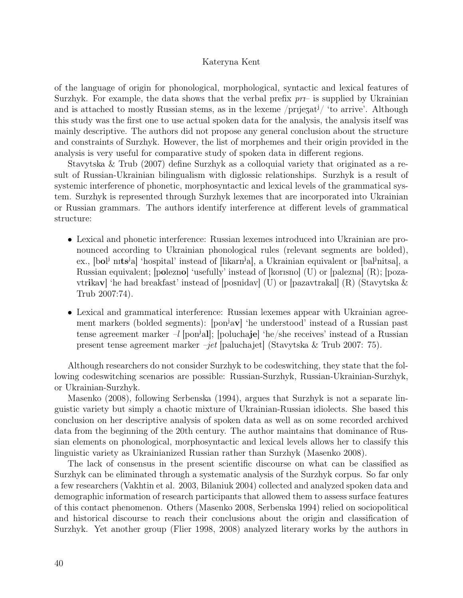of the language of origin for phonological, morphological, syntactic and lexical features of Surzhyk. For example, the data shows that the verbal prefix  $pr-$  is supplied by Ukrainian and is attached to mostly Russian stems, as in the lexeme /prijezat<sup>j</sup>/ 'to arrive'. Although this study was the first one to use actual spoken data for the analysis, the analysis itself was mainly descriptive. The authors did not propose any general conclusion about the structure and constraints of Surzhyk. However, the list of morphemes and their origin provided in the analysis is very useful for comparative study of spoken data in different regions.

Stavytska & Trub (2007) define Surzhyk as a colloquial variety that originated as a result of Russian-Ukrainian bilingualism with diglossic relationships. Surzhyk is a result of systemic interference of phonetic, morphosyntactic and lexical levels of the grammatical system. Surzhyk is represented through Surzhyk lexemes that are incorporated into Ukrainian or Russian grammars. The authors identify interference at different levels of grammatical structure:

- Lexical and phonetic interference: Russian lexemes introduced into Ukrainian are pronounced according to Ukrainian phonological rules (relevant segments are bolded), ex., [bol<sup>j</sup> nits<sup>j</sup>a] 'hospital' instead of [likarn<sup>j</sup>a], a Ukrainian equivalent or [bal<sup>j</sup>nitsa], a Russian equivalent;  $[polexno]$  'usefully' instead of  $[korison]$  (U) or  $[palexno]$   $(R)$ ;  $[poza$ vtrikav] 'he had breakfast' instead of [posnidav] (U) or [pazavtrakal] (R) (Stavytska & Trub 2007:74).
- Lexical and grammatical interference: Russian lexemes appear with Ukrainian agreement markers (bolded segments): [pon<sup>j</sup>av] 'he understood' instead of a Russian past tense agreement marker  $-l$  [pon<sup>j</sup>al]; [poluchaje] 'he/she receives' instead of a Russian present tense agreement marker –jet [paluchajet] (Stavytska & Trub 2007: 75).

Although researchers do not consider Surzhyk to be codeswitching, they state that the following codeswitching scenarios are possible: Russian-Surzhyk, Russian-Ukrainian-Surzhyk, or Ukrainian-Surzhyk.

Masenko (2008), following Serbenska (1994), argues that Surzhyk is not a separate linguistic variety but simply a chaotic mixture of Ukrainian-Russian idiolects. She based this conclusion on her descriptive analysis of spoken data as well as on some recorded archived data from the beginning of the 20th century. The author maintains that dominance of Russian elements on phonological, morphosyntactic and lexical levels allows her to classify this linguistic variety as Ukrainianized Russian rather than Surzhyk (Masenko 2008).

The lack of consensus in the present scientific discourse on what can be classified as Surzhyk can be eliminated through a systematic analysis of the Surzhyk corpus. So far only a few researchers (Vakhtin et al. 2003, Bilaniuk 2004) collected and analyzed spoken data and demographic information of research participants that allowed them to assess surface features of this contact phenomenon. Others (Masenko 2008, Serbenska 1994) relied on sociopolitical and historical discourse to reach their conclusions about the origin and classification of Surzhyk. Yet another group (Flier 1998, 2008) analyzed literary works by the authors in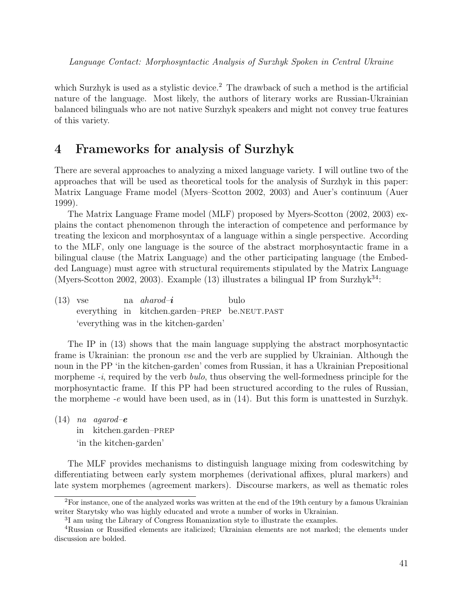which Surzhyk is used as a stylistic device.<sup>2</sup> The drawback of such a method is the artificial nature of the language. Most likely, the authors of literary works are Russian-Ukrainian balanced bilinguals who are not native Surzhyk speakers and might not convey true features of this variety.

### 4 Frameworks for analysis of Surzhyk

There are several approaches to analyzing a mixed language variety. I will outline two of the approaches that will be used as theoretical tools for the analysis of Surzhyk in this paper: Matrix Language Frame model (Myers–Scotton 2002, 2003) and Auer's continuum (Auer 1999).

The Matrix Language Frame model (MLF) proposed by Myers-Scotton (2002, 2003) explains the contact phenomenon through the interaction of competence and performance by treating the lexicon and morphosyntax of a language within a single perspective. According to the MLF, only one language is the source of the abstract morphosyntactic frame in a bilingual clause (the Matrix Language) and the other participating language (the Embedded Language) must agree with structural requirements stipulated by the Matrix Language (Myers-Scotton 2002, 2003). Example (13) illustrates a bilingual IP from Surzhy $k^{34}$ :

(13) vse everything in kitchen.garden-PREP be.NEUT.PAST na *aharod-i* bulo 'everything was in the kitchen-garden'

The IP in (13) shows that the main language supplying the abstract morphosyntactic frame is Ukrainian: the pronoun *vse* and the verb are supplied by Ukrainian. Although the noun in the PP 'in the kitchen-garden' comes from Russian, it has a Ukrainian Prepositional morpheme  $-i$ , required by the verb *bulo*, thus observing the well-formedness principle for the morphosyntactic frame. If this PP had been structured according to the rules of Russian, the morpheme  $-e$  would have been used, as in  $(14)$ . But this form is unattested in Surzhyk.

 $(14)$  na agarod-e in kitchen.garden–prep 'in the kitchen-garden'

The MLF provides mechanisms to distinguish language mixing from codeswitching by differentiating between early system morphemes (derivational affixes, plural markers) and late system morphemes (agreement markers). Discourse markers, as well as thematic roles

<sup>&</sup>lt;sup>2</sup>For instance, one of the analyzed works was written at the end of the 19th century by a famous Ukrainian writer Starytsky who was highly educated and wrote a number of works in Ukrainian.

<sup>3</sup> I am using the Library of Congress Romanization style to illustrate the examples.

<sup>4</sup>Russian or Russified elements are italicized; Ukrainian elements are not marked; the elements under discussion are bolded.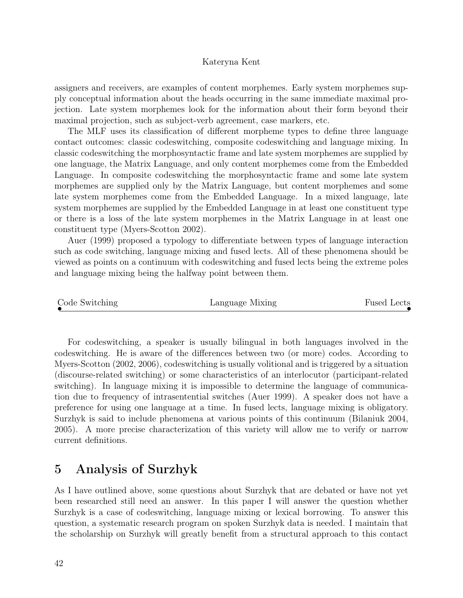assigners and receivers, are examples of content morphemes. Early system morphemes supply conceptual information about the heads occurring in the same immediate maximal projection. Late system morphemes look for the information about their form beyond their maximal projection, such as subject-verb agreement, case markers, etc.

The MLF uses its classification of different morpheme types to define three language contact outcomes: classic codeswitching, composite codeswitching and language mixing. In classic codeswitching the morphosyntactic frame and late system morphemes are supplied by one language, the Matrix Language, and only content morphemes come from the Embedded Language. In composite codeswitching the morphosyntactic frame and some late system morphemes are supplied only by the Matrix Language, but content morphemes and some late system morphemes come from the Embedded Language. In a mixed language, late system morphemes are supplied by the Embedded Language in at least one constituent type or there is a loss of the late system morphemes in the Matrix Language in at least one constituent type (Myers-Scotton 2002).

Auer (1999) proposed a typology to differentiate between types of language interaction such as code switching, language mixing and fused lects. All of these phenomena should be viewed as points on a continuum with codeswitching and fused lects being the extreme poles and language mixing being the halfway point between them.

| Code Switching<br>Language Mixing | <b>Fused Lects</b> |
|-----------------------------------|--------------------|
|-----------------------------------|--------------------|

For codeswitching, a speaker is usually bilingual in both languages involved in the codeswitching. He is aware of the differences between two (or more) codes. According to Myers-Scotton (2002, 2006), codeswitching is usually volitional and is triggered by a situation (discourse-related switching) or some characteristics of an interlocutor (participant-related switching). In language mixing it is impossible to determine the language of communication due to frequency of intrasentential switches (Auer 1999). A speaker does not have a preference for using one language at a time. In fused lects, language mixing is obligatory. Surzhyk is said to include phenomena at various points of this continuum (Bilaniuk 2004, 2005). A more precise characterization of this variety will allow me to verify or narrow current definitions.

### 5 Analysis of Surzhyk

As I have outlined above, some questions about Surzhyk that are debated or have not yet been researched still need an answer. In this paper I will answer the question whether Surzhyk is a case of codeswitching, language mixing or lexical borrowing. To answer this question, a systematic research program on spoken Surzhyk data is needed. I maintain that the scholarship on Surzhyk will greatly benefit from a structural approach to this contact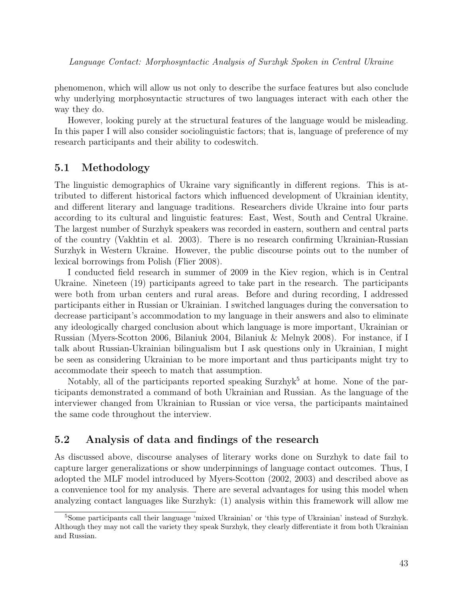phenomenon, which will allow us not only to describe the surface features but also conclude why underlying morphosyntactic structures of two languages interact with each other the way they do.

However, looking purely at the structural features of the language would be misleading. In this paper I will also consider sociolinguistic factors; that is, language of preference of my research participants and their ability to codeswitch.

#### 5.1 Methodology

The linguistic demographics of Ukraine vary significantly in different regions. This is attributed to different historical factors which influenced development of Ukrainian identity, and different literary and language traditions. Researchers divide Ukraine into four parts according to its cultural and linguistic features: East, West, South and Central Ukraine. The largest number of Surzhyk speakers was recorded in eastern, southern and central parts of the country (Vakhtin et al. 2003). There is no research confirming Ukrainian-Russian Surzhyk in Western Ukraine. However, the public discourse points out to the number of lexical borrowings from Polish (Flier 2008).

I conducted field research in summer of 2009 in the Kiev region, which is in Central Ukraine. Nineteen (19) participants agreed to take part in the research. The participants were both from urban centers and rural areas. Before and during recording, I addressed participants either in Russian or Ukrainian. I switched languages during the conversation to decrease participant's accommodation to my language in their answers and also to eliminate any ideologically charged conclusion about which language is more important, Ukrainian or Russian (Myers-Scotton 2006, Bilaniuk 2004, Bilaniuk & Melnyk 2008). For instance, if I talk about Russian-Ukrainian bilingualism but I ask questions only in Ukrainian, I might be seen as considering Ukrainian to be more important and thus participants might try to accommodate their speech to match that assumption.

Notably, all of the participants reported speaking Surzhyk<sup>5</sup> at home. None of the participants demonstrated a command of both Ukrainian and Russian. As the language of the interviewer changed from Ukrainian to Russian or vice versa, the participants maintained the same code throughout the interview.

#### 5.2 Analysis of data and findings of the research

As discussed above, discourse analyses of literary works done on Surzhyk to date fail to capture larger generalizations or show underpinnings of language contact outcomes. Thus, I adopted the MLF model introduced by Myers-Scotton (2002, 2003) and described above as a convenience tool for my analysis. There are several advantages for using this model when analyzing contact languages like Surzhyk: (1) analysis within this framework will allow me

<sup>5</sup>Some participants call their language 'mixed Ukrainian' or 'this type of Ukrainian' instead of Surzhyk. Although they may not call the variety they speak Surzhyk, they clearly differentiate it from both Ukrainian and Russian.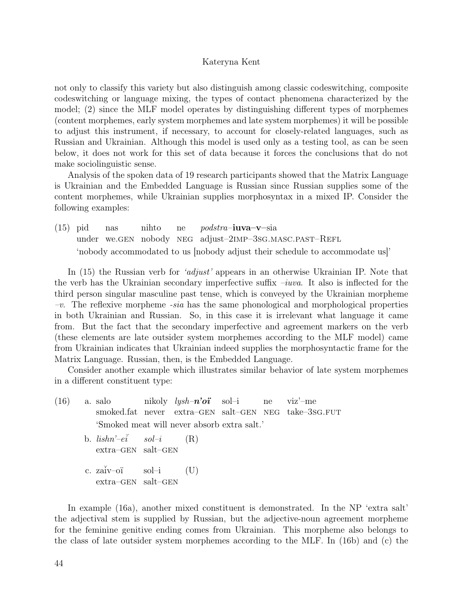not only to classify this variety but also distinguish among classic codeswitching, composite codeswitching or language mixing, the types of contact phenomena characterized by the model; (2) since the MLF model operates by distinguishing different types of morphemes (content morphemes, early system morphemes and late system morphemes) it will be possible to adjust this instrument, if necessary, to account for closely-related languages, such as Russian and Ukrainian. Although this model is used only as a testing tool, as can be seen below, it does not work for this set of data because it forces the conclusions that do not make sociolinguistic sense.

Analysis of the spoken data of 19 research participants showed that the Matrix Language is Ukrainian and the Embedded Language is Russian since Russian supplies some of the content morphemes, while Ukrainian supplies morphosyntax in a mixed IP. Consider the following examples:

(15) pid under we.gen nobody neg adjust–2imp–3sg.masc.past–Refl nas nihto ne podstra–iuva–v–sia 'nobody accommodated to us [nobody adjust their schedule to accommodate us]'

In (15) the Russian verb for 'adjust' appears in an otherwise Ukrainian IP. Note that the verb has the Ukrainian secondary imperfective suffix  $-iuva$ . It also is inflected for the third person singular masculine past tense, which is conveyed by the Ukrainian morpheme  $-v$ . The reflexive morpheme *-sia* has the same phonological and morphological properties in both Ukrainian and Russian. So, in this case it is irrelevant what language it came from. But the fact that the secondary imperfective and agreement markers on the verb (these elements are late outsider system morphemes according to the MLF model) came from Ukrainian indicates that Ukrainian indeed supplies the morphosyntactic frame for the Matrix Language. Russian, then, is the Embedded Language.

Consider another example which illustrates similar behavior of late system morphemes in a different constituent type:

(16) a. salo smoked.fat never extra–GEN salt–GEN NEG take–3sG.FUT nikoly *lysh–* $n$ *'oi* sol–i ne viz'–me 'Smoked meat will never absorb extra salt.' b.  $lishn'ei$ extra–gen salt–gen sol–i (R) c. za˘iv–oï extra–gen salt–gen sol–i (U)

In example (16a), another mixed constituent is demonstrated. In the NP 'extra salt' the adjectival stem is supplied by Russian, but the adjective-noun agreement morpheme for the feminine genitive ending comes from Ukrainian. This morpheme also belongs to the class of late outsider system morphemes according to the MLF. In (16b) and (c) the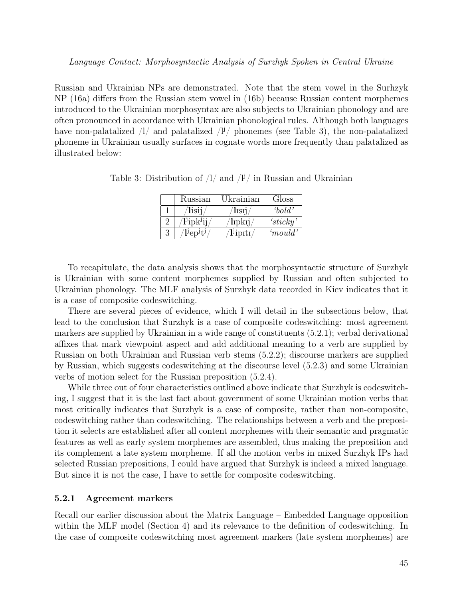Russian and Ukrainian NPs are demonstrated. Note that the stem vowel in the Surhzyk NP (16a) differs from the Russian stem vowel in (16b) because Russian content morphemes introduced to the Ukrainian morphosyntax are also subjects to Ukrainian phonology and are often pronounced in accordance with Ukrainian phonological rules. Although both languages have non-palatalized  $\frac{1}{4}$  and palatalized  $\frac{1}{4}$  phonemes (see Table 3), the non-palatalized phoneme in Ukrainian usually surfaces in cognate words more frequently than palatalized as illustrated below:

| Russian                          | Ukrainian    | Gloss            |
|----------------------------------|--------------|------------------|
| lisii                            | lisii.       | $\mathit{bold'}$ |
| $\sqrt{2}$ ipk $\overline{3}$ ij | $\ln{\rm k}$ | 's ticky'        |
| $l^{j}ep^{j}t^{j}$               | $lj$ ipiti   | 'mould'          |

Table 3: Distribution of  $1/$  and  $1^{j}$  in Russian and Ukrainian

To recapitulate, the data analysis shows that the morphosyntactic structure of Surzhyk is Ukrainian with some content morphemes supplied by Russian and often subjected to Ukrainian phonology. The MLF analysis of Surzhyk data recorded in Kiev indicates that it is a case of composite codeswitching.

There are several pieces of evidence, which I will detail in the subsections below, that lead to the conclusion that Surzhyk is a case of composite codeswitching: most agreement markers are supplied by Ukrainian in a wide range of constituents (5.2.1); verbal derivational affixes that mark viewpoint aspect and add additional meaning to a verb are supplied by Russian on both Ukrainian and Russian verb stems (5.2.2); discourse markers are supplied by Russian, which suggests codeswitching at the discourse level (5.2.3) and some Ukrainian verbs of motion select for the Russian preposition (5.2.4).

While three out of four characteristics outlined above indicate that Surzhyk is codeswitching, I suggest that it is the last fact about government of some Ukrainian motion verbs that most critically indicates that Surzhyk is a case of composite, rather than non-composite, codeswitching rather than codeswitching. The relationships between a verb and the preposition it selects are established after all content morphemes with their semantic and pragmatic features as well as early system morphemes are assembled, thus making the preposition and its complement a late system morpheme. If all the motion verbs in mixed Surzhyk IPs had selected Russian prepositions, I could have argued that Surzhyk is indeed a mixed language. But since it is not the case, I have to settle for composite codeswitching.

#### 5.2.1 Agreement markers

Recall our earlier discussion about the Matrix Language – Embedded Language opposition within the MLF model (Section 4) and its relevance to the definition of codeswitching. In the case of composite codeswitching most agreement markers (late system morphemes) are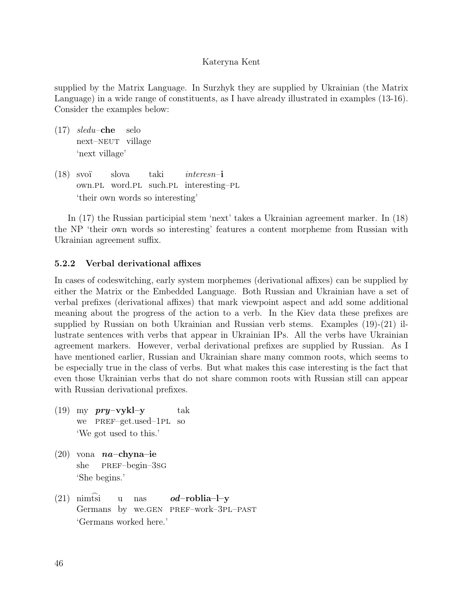supplied by the Matrix Language. In Surzhyk they are supplied by Ukrainian (the Matrix Language) in a wide range of constituents, as I have already illustrated in examples (13-16). Consider the examples below:

- $(17)$  sledu–che next–neut village selo 'next village'
- (18) svoï own.pl word.pl such.pl interesting–pl slova taki interesn–i 'their own words so interesting'

In (17) the Russian participial stem 'next' takes a Ukrainian agreement marker. In (18) the NP 'their own words so interesting' features a content morpheme from Russian with Ukrainian agreement suffix.

#### 5.2.2 Verbal derivational affixes

In cases of codeswitching, early system morphemes (derivational affixes) can be supplied by either the Matrix or the Embedded Language. Both Russian and Ukrainian have a set of verbal prefixes (derivational affixes) that mark viewpoint aspect and add some additional meaning about the progress of the action to a verb. In the Kiev data these prefixes are supplied by Russian on both Ukrainian and Russian verb stems. Examples (19)-(21) illustrate sentences with verbs that appear in Ukrainian IPs. All the verbs have Ukrainian agreement markers. However, verbal derivational prefixes are supplied by Russian. As I have mentioned earlier, Russian and Ukrainian share many common roots, which seems to be especially true in the class of verbs. But what makes this case interesting is the fact that even those Ukrainian verbs that do not share common roots with Russian still can appear with Russian derivational prefixes.

- (19) my  $\frac{pry vykl y}{r$ we pref–get.used–1pl so tak 'We got used to this.'
- $(20)$  vona *na*-chyna-ie she pref–begin–3sg 'She begins.'
- $(21)$  nimtsi Germans by we.GEN PREF-work-3PL-PAST u nas od–roblia–l–y 'Germans worked here.'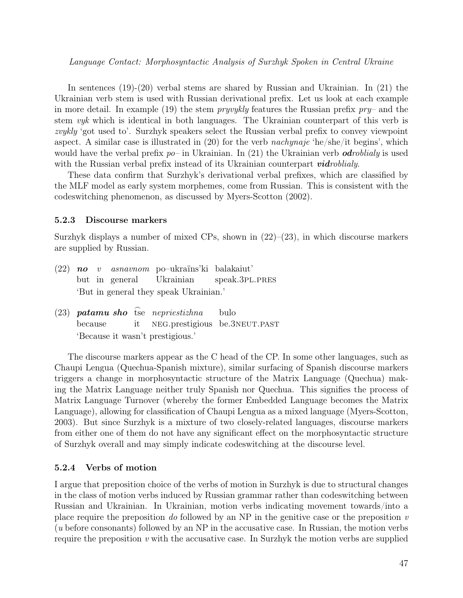In sentences (19)-(20) verbal stems are shared by Russian and Ukrainian. In (21) the Ukrainian verb stem is used with Russian derivational prefix. Let us look at each example in more detail. In example (19) the stem *pryvykly* features the Russian prefix  $pry$ – and the stem vyk which is identical in both languages. The Ukrainian counterpart of this verb is zvykly 'got used to'. Surzhyk speakers select the Russian verbal prefix to convey viewpoint aspect. A similar case is illustrated in  $(20)$  for the verb *nachynaje* 'he/she/it begins', which would have the verbal prefix  $po$ – in Ukrainian. In (21) the Ukrainian verb *odroblialy* is used with the Russian verbal prefix instead of its Ukrainian counterpart *vidroblialy*.

These data confirm that Surzhyk's derivational verbal prefixes, which are classified by the MLF model as early system morphemes, come from Russian. This is consistent with the codeswitching phenomenon, as discussed by Myers-Scotton (2002).

#### 5.2.3 Discourse markers

Surzhyk displays a number of mixed CPs, shown in  $(22)$ – $(23)$ , in which discourse markers are supplied by Russian.

- $(22)$  no but in general v asnavnom po–ukraïns'ki balakaiut' Ukrainian speak.3PL.PRES 'But in general they speak Ukrainian.'
- $(23)$  **patamu sho** tse nepriestizhna because it neg.prestigious be.3neut.past bulo 'Because it wasn't prestigious.'

The discourse markers appear as the C head of the CP. In some other languages, such as Chaupi Lengua (Quechua-Spanish mixture), similar surfacing of Spanish discourse markers triggers a change in morphosyntactic structure of the Matrix Language (Quechua) making the Matrix Language neither truly Spanish nor Quechua. This signifies the process of Matrix Language Turnover (whereby the former Embedded Language becomes the Matrix Language), allowing for classification of Chaupi Lengua as a mixed language (Myers-Scotton, 2003). But since Surzhyk is a mixture of two closely-related languages, discourse markers from either one of them do not have any significant effect on the morphosyntactic structure of Surzhyk overall and may simply indicate codeswitching at the discourse level.

#### 5.2.4 Verbs of motion

I argue that preposition choice of the verbs of motion in Surzhyk is due to structural changes in the class of motion verbs induced by Russian grammar rather than codeswitching between Russian and Ukrainian. In Ukrainian, motion verbs indicating movement towards/into a place require the preposition do followed by an NP in the genitive case or the preposition  $v$ (u before consonants) followed by an NP in the accusative case. In Russian, the motion verbs require the preposition  $v$  with the accusative case. In Surzhyk the motion verbs are supplied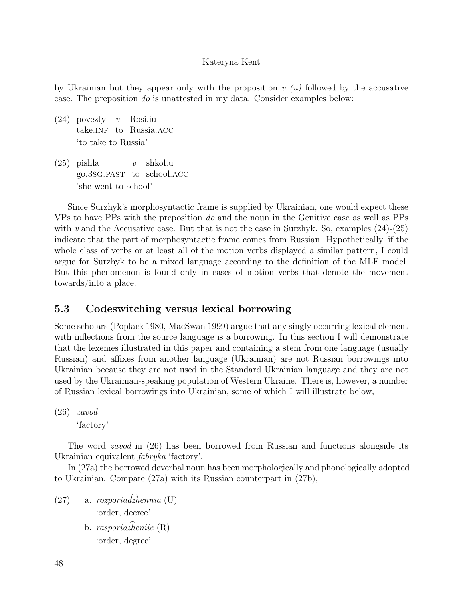by Ukrainian but they appear only with the proposition  $v(u)$  followed by the accusative case. The preposition do is unattested in my data. Consider examples below:

- $(24)$  povezty v take.INF to Russia.ACC Rosi.iu 'to take to Russia'
- (25) pishla go.3sG.PAST to school.ACC  $\overline{v}$ shkol.u 'she went to school'

Since Surzhyk's morphosyntactic frame is supplied by Ukrainian, one would expect these VPs to have PPs with the preposition do and the noun in the Genitive case as well as PPs with v and the Accusative case. But that is not the case in Surzhyk. So, examples  $(24)-(25)$ indicate that the part of morphosyntactic frame comes from Russian. Hypothetically, if the whole class of verbs or at least all of the motion verbs displayed a similar pattern, I could argue for Surzhyk to be a mixed language according to the definition of the MLF model. But this phenomenon is found only in cases of motion verbs that denote the movement towards/into a place.

### 5.3 Codeswitching versus lexical borrowing

Some scholars (Poplack 1980, MacSwan 1999) argue that any singly occurring lexical element with inflections from the source language is a borrowing. In this section I will demonstrate that the lexemes illustrated in this paper and containing a stem from one language (usually Russian) and affixes from another language (Ukrainian) are not Russian borrowings into Ukrainian because they are not used in the Standard Ukrainian language and they are not used by the Ukrainian-speaking population of Western Ukraine. There is, however, a number of Russian lexical borrowings into Ukrainian, some of which I will illustrate below,

(26) zavod

'factory'

The word *zavod* in (26) has been borrowed from Russian and functions alongside its Ukrainian equivalent fabryka 'factory'.

In (27a) the borrowed deverbal noun has been morphologically and phonologically adopted to Ukrainian. Compare (27a) with its Russian counterpart in (27b),

 $(27)$  a. rozporiad $\widehat{z}$ hennia (U) 'order, decree' b. *rasporia* $\widehat{A}$ eniie (R) 'order, degree'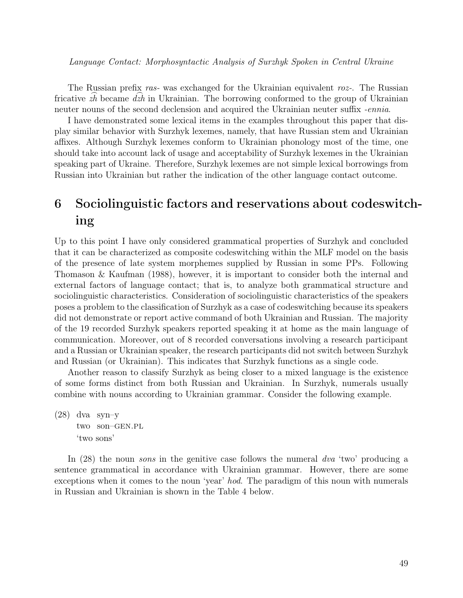The Russian prefix ras- was exchanged for the Ukrainian equivalent roz-. The Russian The russian prenx *rus*- was exchanged for the Oxramian equivalent *roz*-. The russian<br>fricative  $\hat{zh}$  became  $\hat{dzh}$  in Ukrainian. The borrowing conformed to the group of Ukrainian neuter nouns of the second declension and acquired the Ukrainian neuter suffix -*ennia*.

I have demonstrated some lexical items in the examples throughout this paper that display similar behavior with Surzhyk lexemes, namely, that have Russian stem and Ukrainian affixes. Although Surzhyk lexemes conform to Ukrainian phonology most of the time, one should take into account lack of usage and acceptability of Surzhyk lexemes in the Ukrainian speaking part of Ukraine. Therefore, Surzhyk lexemes are not simple lexical borrowings from Russian into Ukrainian but rather the indication of the other language contact outcome.

# 6 Sociolinguistic factors and reservations about codeswitching

Up to this point I have only considered grammatical properties of Surzhyk and concluded that it can be characterized as composite codeswitching within the MLF model on the basis of the presence of late system morphemes supplied by Russian in some PPs. Following Thomason & Kaufman (1988), however, it is important to consider both the internal and external factors of language contact; that is, to analyze both grammatical structure and sociolinguistic characteristics. Consideration of sociolinguistic characteristics of the speakers poses a problem to the classification of Surzhyk as a case of codeswitching because its speakers did not demonstrate or report active command of both Ukrainian and Russian. The majority of the 19 recorded Surzhyk speakers reported speaking it at home as the main language of communication. Moreover, out of 8 recorded conversations involving a research participant and a Russian or Ukrainian speaker, the research participants did not switch between Surzhyk and Russian (or Ukrainian). This indicates that Surzhyk functions as a single code.

Another reason to classify Surzhyk as being closer to a mixed language is the existence of some forms distinct from both Russian and Ukrainian. In Surzhyk, numerals usually combine with nouns according to Ukrainian grammar. Consider the following example.

(28) dva syn–y two son–gen.pl 'two sons'

In (28) the noun *sons* in the genitive case follows the numeral dva 'two' producing a sentence grammatical in accordance with Ukrainian grammar. However, there are some exceptions when it comes to the noun 'year' hod. The paradigm of this noun with numerals in Russian and Ukrainian is shown in the Table 4 below.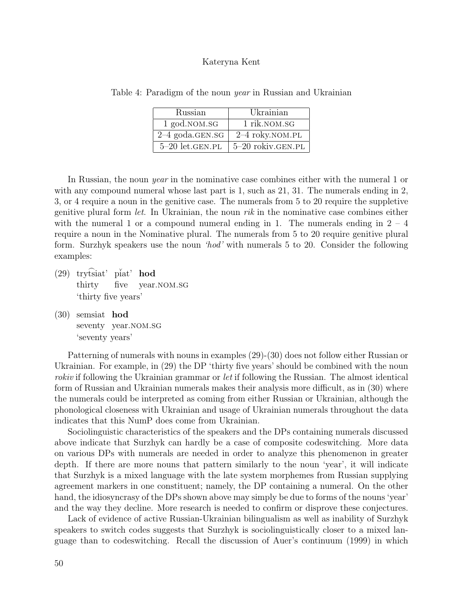| Russian             | Ukrainian         |
|---------------------|-------------------|
| 1 god.NOM.SG        | 1 rik.NOM.SG      |
| $2-4$ goda.GEN.SG   | 2-4 roky.NOM.PL   |
| $5-20$ let. GEN. PL | 5-20 rokiv.GEN.PL |

Table 4: Paradigm of the noun *year* in Russian and Ukrainian

In Russian, the noun *year* in the nominative case combines either with the numeral 1 or with any compound numeral whose last part is 1, such as 21, 31. The numerals ending in 2, 3, or 4 require a noun in the genitive case. The numerals from 5 to 20 require the suppletive genitive plural form *let*. In Ukrainian, the noun *rik* in the nominative case combines either with the numeral 1 or a compound numeral ending in 1. The numerals ending in  $2 - 4$ require a noun in the Nominative plural. The numerals from 5 to 20 require genitive plural form. Surzhyk speakers use the noun 'hod' with numerals 5 to 20. Consider the following examples:

- $(29)$  trytsiat' piat' hod thirty five year.nom.sg 'thirty five years'
- (30) semsiat hod seventy year.NOM.SG 'seventy years'

Patterning of numerals with nouns in examples (29)-(30) does not follow either Russian or Ukrainian. For example, in (29) the DP 'thirty five years' should be combined with the noun rokiv if following the Ukrainian grammar or *let* if following the Russian. The almost identical form of Russian and Ukrainian numerals makes their analysis more difficult, as in (30) where the numerals could be interpreted as coming from either Russian or Ukrainian, although the phonological closeness with Ukrainian and usage of Ukrainian numerals throughout the data indicates that this NumP does come from Ukrainian.

Sociolinguistic characteristics of the speakers and the DPs containing numerals discussed above indicate that Surzhyk can hardly be a case of composite codeswitching. More data on various DPs with numerals are needed in order to analyze this phenomenon in greater depth. If there are more nouns that pattern similarly to the noun 'year', it will indicate that Surzhyk is a mixed language with the late system morphemes from Russian supplying agreement markers in one constituent; namely, the DP containing a numeral. On the other hand, the idiosyncrasy of the DPs shown above may simply be due to forms of the nouns 'year' and the way they decline. More research is needed to confirm or disprove these conjectures.

Lack of evidence of active Russian-Ukrainian bilingualism as well as inability of Surzhyk speakers to switch codes suggests that Surzhyk is sociolinguistically closer to a mixed language than to codeswitching. Recall the discussion of Auer's continuum (1999) in which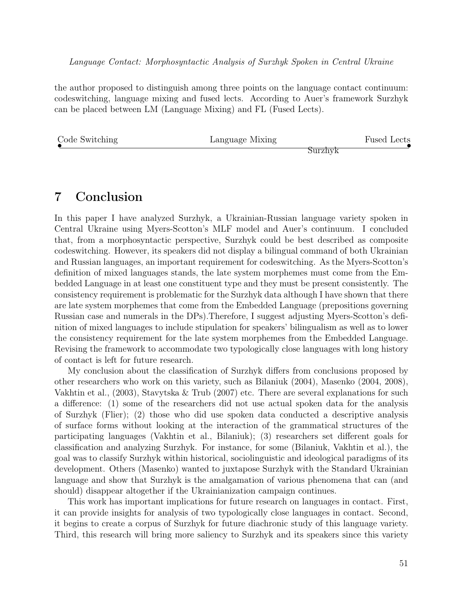the author proposed to distinguish among three points on the language contact continuum: codeswitching, language mixing and fused lects. According to Auer's framework Surzhyk can be placed between LM (Language Mixing) and FL (Fused Lects).

| Code Switching | Language Mixing | <b>Fused Lects</b> |
|----------------|-----------------|--------------------|
|                |                 | burzhvk            |

### 7 Conclusion

In this paper I have analyzed Surzhyk, a Ukrainian-Russian language variety spoken in Central Ukraine using Myers-Scotton's MLF model and Auer's continuum. I concluded that, from a morphosyntactic perspective, Surzhyk could be best described as composite codeswitching. However, its speakers did not display a bilingual command of both Ukrainian and Russian languages, an important requirement for codeswitching. As the Myers-Scotton's definition of mixed languages stands, the late system morphemes must come from the Embedded Language in at least one constituent type and they must be present consistently. The consistency requirement is problematic for the Surzhyk data although I have shown that there are late system morphemes that come from the Embedded Language (prepositions governing Russian case and numerals in the DPs).Therefore, I suggest adjusting Myers-Scotton's definition of mixed languages to include stipulation for speakers' bilingualism as well as to lower the consistency requirement for the late system morphemes from the Embedded Language. Revising the framework to accommodate two typologically close languages with long history of contact is left for future research.

My conclusion about the classification of Surzhyk differs from conclusions proposed by other researchers who work on this variety, such as Bilaniuk (2004), Masenko (2004, 2008), Vakhtin et al., (2003), Stavytska & Trub (2007) etc. There are several explanations for such a difference: (1) some of the researchers did not use actual spoken data for the analysis of Surzhyk (Flier); (2) those who did use spoken data conducted a descriptive analysis of surface forms without looking at the interaction of the grammatical structures of the participating languages (Vakhtin et al., Bilaniuk); (3) researchers set different goals for classification and analyzing Surzhyk. For instance, for some (Bilaniuk, Vakhtin et al.), the goal was to classify Surzhyk within historical, sociolinguistic and ideological paradigms of its development. Others (Masenko) wanted to juxtapose Surzhyk with the Standard Ukrainian language and show that Surzhyk is the amalgamation of various phenomena that can (and should) disappear altogether if the Ukrainianization campaign continues.

This work has important implications for future research on languages in contact. First, it can provide insights for analysis of two typologically close languages in contact. Second, it begins to create a corpus of Surzhyk for future diachronic study of this language variety. Third, this research will bring more saliency to Surzhyk and its speakers since this variety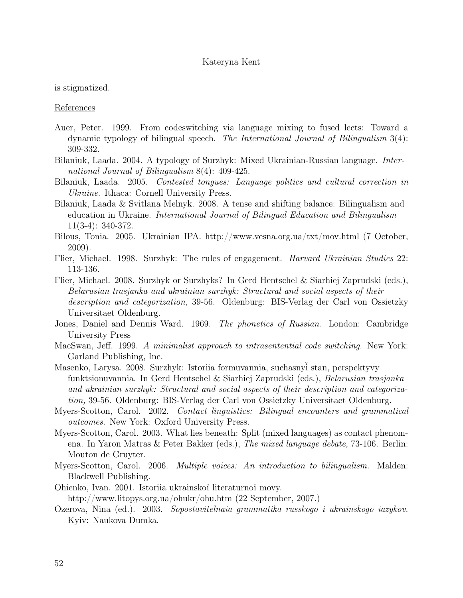is stigmatized.

References

- Auer, Peter. 1999. From codeswitching via language mixing to fused lects: Toward a dynamic typology of bilingual speech. The International Journal of Bilingualism 3(4): 309-332.
- Bilaniuk, Laada. 2004. A typology of Surzhyk: Mixed Ukrainian-Russian language. International Journal of Bilingualism 8(4): 409-425.
- Bilaniuk, Laada. 2005. Contested tongues: Language politics and cultural correction in Ukraine. Ithaca: Cornell University Press.
- Bilaniuk, Laada & Svitlana Melnyk. 2008. A tense and shifting balance: Bilingualism and education in Ukraine. International Journal of Bilingual Education and Bilingualism 11(3-4): 340-372.
- Bilous, Tonia. 2005. Ukrainian IPA. http://www.vesna.org.ua/txt/mov.html (7 October, 2009).
- Flier, Michael. 1998. Surzhyk: The rules of engagement. Harvard Ukrainian Studies 22: 113-136.
- Flier, Michael. 2008. Surzhyk or Surzhyks? In Gerd Hentschel & Siarhiej Zaprudski (eds.), Belarusian trasjanka and ukrainian surzhyk: Structural and social aspects of their description and categorization, 39-56. Oldenburg: BIS-Verlag der Carl von Ossietzky Universitaet Oldenburg.
- Jones, Daniel and Dennis Ward. 1969. The phonetics of Russian. London: Cambridge University Press
- MacSwan, Jeff. 1999. A minimalist approach to intrasentential code switching. New York: Garland Publishing, Inc.
- Masenko, Larysa. 2008. Surzhyk: Istoriia formuvannia, suchasnyĭ stan, perspektyvy funktsionuvannia. In Gerd Hentschel & Siarhiej Zaprudski (eds.), Belarusian trasjanka and ukrainian surzhyk: Structural and social aspects of their description and categorization, 39-56. Oldenburg: BIS-Verlag der Carl von Ossietzky Universitaet Oldenburg.
- Myers-Scotton, Carol. 2002. Contact linguistics: Bilingual encounters and grammatical outcomes. New York: Oxford University Press.
- Myers-Scotton, Carol. 2003. What lies beneath: Split (mixed languages) as contact phenomena. In Yaron Matras & Peter Bakker (eds.), The mixed language debate, 73-106. Berlin: Mouton de Gruyter.
- Myers-Scotton, Carol. 2006. Multiple voices: An introduction to bilingualism. Malden: Blackwell Publishing.
- Ohienko, Ivan. 2001. Istoriia ukrainskoï literaturnoï movy. http://www.litopys.org.ua/ohukr/ohu.htm (22 September, 2007.)
- Ozerova, Nina (ed.). 2003. Sopostavitelnaia grammatika russkogo i ukrainskogo iazykov. Kyiv: Naukova Dumka.